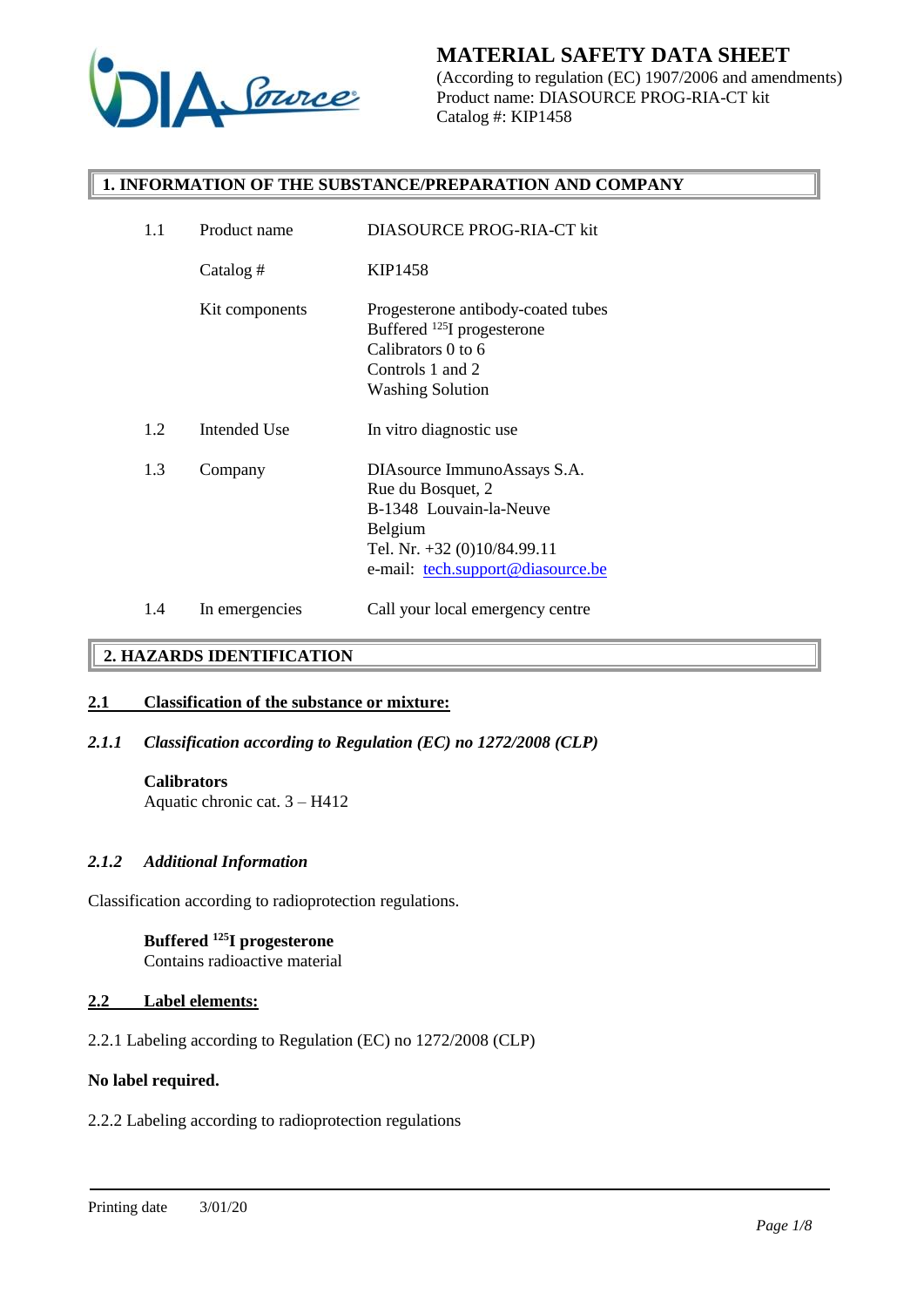

(According to regulation (EC) 1907/2006 and amendments) Product name: DIASOURCE PROG-RIA-CT kit Catalog #: KIP1458

### **1. INFORMATION OF THE SUBSTANCE/PREPARATION AND COMPANY**

| 1.1 | Product name   | DIASOURCE PROG-RIA-CT kit                                                                                                                                  |
|-----|----------------|------------------------------------------------------------------------------------------------------------------------------------------------------------|
|     | Catalog #      | KIP1458                                                                                                                                                    |
|     | Kit components | Progesterone antibody-coated tubes<br>Buffered <sup>125</sup> I progesterone<br>Calibrators 0 to 6<br>Controls 1 and 2<br><b>Washing Solution</b>          |
| 1.2 | Intended Use   | In vitro diagnostic use                                                                                                                                    |
| 1.3 | Company        | DIAsource ImmunoAssays S.A.<br>Rue du Bosquet, 2<br>B-1348 Louvain-la-Neuve<br>Belgium<br>Tel. Nr. +32 (0)10/84.99.11<br>e-mail: tech.support@diasource.be |
| 1.4 | In emergencies | Call your local emergency centre                                                                                                                           |

## **2. HAZARDS IDENTIFICATION**

### **2.1 Classification of the substance or mixture:**

# *2.1.1 Classification according to Regulation (EC) no 1272/2008 (CLP)*

### **Calibrators**

Aquatic chronic cat. 3 – H412

### *2.1.2 Additional Information*

Classification according to radioprotection regulations.

### **Buffered <sup>125</sup>I progesterone** Contains radioactive material

# **2.2 Label elements:**

2.2.1 Labeling according to Regulation (EC) no 1272/2008 (CLP)

#### **No label required.**

### 2.2.2 Labeling according to radioprotection regulations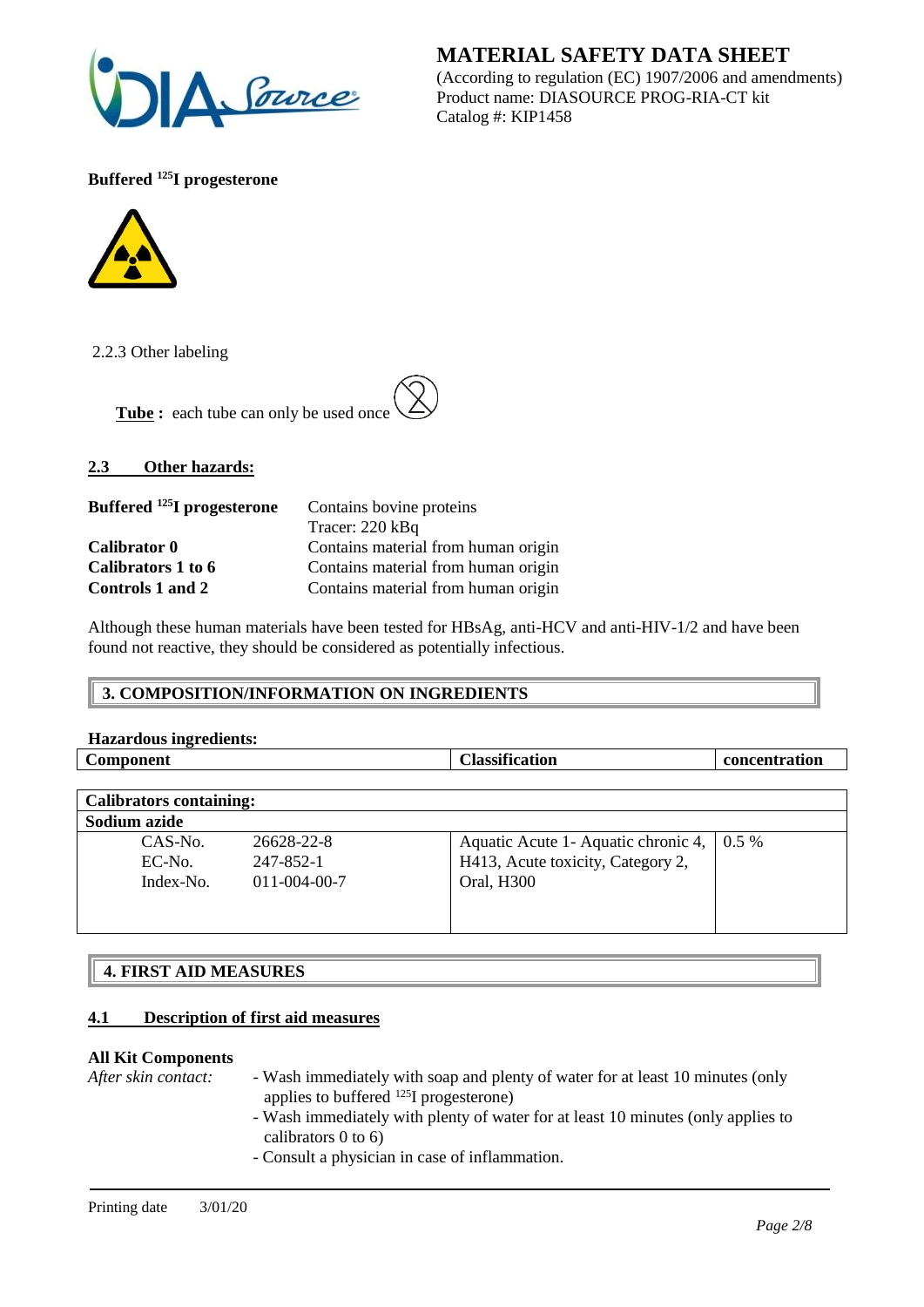

(According to regulation (EC) 1907/2006 and amendments) Product name: DIASOURCE PROG-RIA-CT kit Catalog #: KIP1458

**Buffered <sup>125</sup>I progesterone**



2.2.3 Other labeling

Tube : each tube can only be used once

# **2.3 Other hazards:**

| Buffered <sup>125</sup> I progesterone | Contains bovine proteins            |
|----------------------------------------|-------------------------------------|
|                                        | Tracer: 220 kBq                     |
| Calibrator 0                           | Contains material from human origin |
| Calibrators 1 to 6                     | Contains material from human origin |
| Controls 1 and 2                       | Contains material from human origin |

Although these human materials have been tested for HBsAg, anti-HCV and anti-HIV-1/2 and have been found not reactive, they should be considered as potentially infectious.

### **3. COMPOSITION/INFORMATION ON INGREDIENTS**

| <b>Hazardous ingredients:</b>  |            |                                              |               |
|--------------------------------|------------|----------------------------------------------|---------------|
| <b>Component</b>               |            | <b>Classification</b>                        | concentration |
|                                |            |                                              |               |
| <b>Calibrators containing:</b> |            |                                              |               |
| Sodium azide                   |            |                                              |               |
| $CAS-N0$ .                     | 26628-22-8 | Aquatic Acute 1 - Aquatic chronic 4,   0.5 % |               |
| EC-No.                         | 247-852-1  | H413, Acute toxicity, Category 2,            |               |

Oral, H300

| <b>4. FIRST AID MEASURES</b> |
|------------------------------|

### **4.1 Description of first aid measures**

Index-No. 011-004-00-7

### **All Kit Components**

- *After skin contact:* Wash immediately with soap and plenty of water for at least 10 minutes (only applies to buffered <sup>125</sup>I progesterone)
	- Wash immediately with plenty of water for at least 10 minutes (only applies to calibrators 0 to 6)
	- Consult a physician in case of inflammation.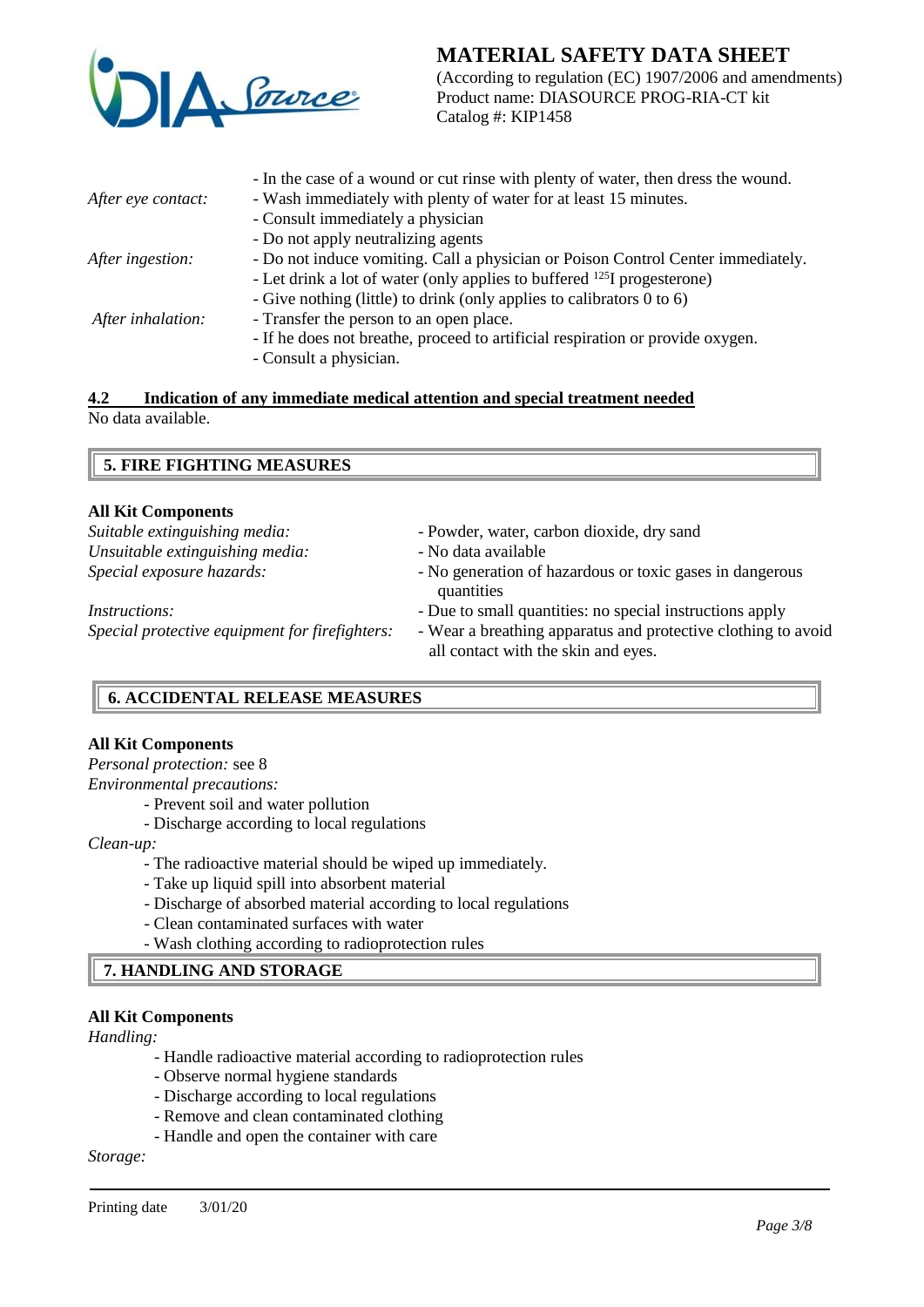

(According to regulation (EC) 1907/2006 and amendments) Product name: DIASOURCE PROG-RIA-CT kit Catalog #: KIP1458

|                    | - In the case of a wound or cut rinse with plenty of water, then dress the wound.   |
|--------------------|-------------------------------------------------------------------------------------|
| After eye contact: | - Wash immediately with plenty of water for at least 15 minutes.                    |
|                    | - Consult immediately a physician                                                   |
|                    | - Do not apply neutralizing agents                                                  |
| After ingestion:   | - Do not induce vomiting. Call a physician or Poison Control Center immediately.    |
|                    | - Let drink a lot of water (only applies to buffered <sup>125</sup> I progesterone) |
|                    | - Give nothing (little) to drink (only applies to calibrators 0 to 6)               |
| After inhalation:  | - Transfer the person to an open place.                                             |
|                    | - If he does not breathe, proceed to artificial respiration or provide oxygen.      |
|                    | - Consult a physician.                                                              |
|                    |                                                                                     |

#### **4.2 Indication of any immediate medical attention and special treatment needed** No data available.

# **5. FIRE FIGHTING MEASURES**

### **All Kit Components**

| Suitable extinguishing media:                  | - Powder, water, carbon dioxide, dry sand                              |
|------------------------------------------------|------------------------------------------------------------------------|
| Unsuitable extinguishing media:                | - No data available                                                    |
| Special exposure hazards:                      | - No generation of hazardous or toxic gases in dangerous<br>quantities |
| <i>Instructions:</i>                           | - Due to small quantities: no special instructions apply               |
| Special protective equipment for firefighters: | - Wear a breathing apparatus and protective clothing to avoid          |
|                                                | all contact with the skin and eyes.                                    |

# **6. ACCIDENTAL RELEASE MEASURES**

### **All Kit Components**

*Personal protection:* see 8

*Environmental precautions:*

*-* Prevent soil and water pollution

- Discharge according to local regulations

*Clean-up:*

- The radioactive material should be wiped up immediately.
- Take up liquid spill into absorbent material
- Discharge of absorbed material according to local regulations
- Clean contaminated surfaces with water
- Wash clothing according to radioprotection rules

# **7. HANDLING AND STORAGE**

# **All Kit Components**

*Handling:*

- Handle radioactive material according to radioprotection rules
- Observe normal hygiene standards
- Discharge according to local regulations
- Remove and clean contaminated clothing
- Handle and open the container with care

*Storage:*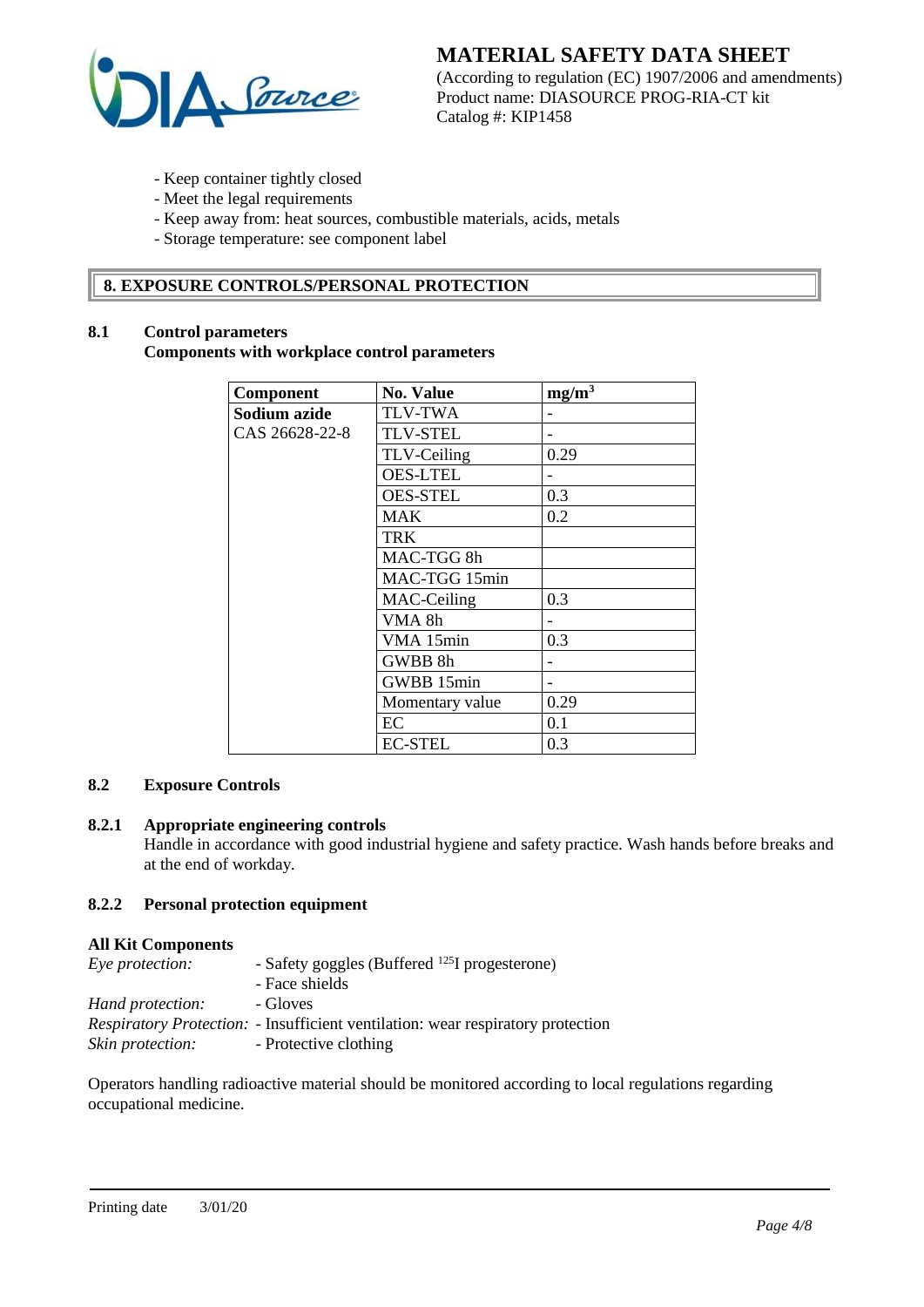

(According to regulation (EC) 1907/2006 and amendments) Product name: DIASOURCE PROG-RIA-CT kit Catalog #: KIP1458

- Keep container tightly closed
- Meet the legal requirements
- Keep away from: heat sources, combustible materials, acids, metals
- Storage temperature: see component label

# **8. EXPOSURE CONTROLS/PERSONAL PROTECTION**

# **8.1 Control parameters**

### **Components with workplace control parameters**

| Component      | <b>No. Value</b> | mg/m <sup>3</sup> |
|----------------|------------------|-------------------|
| Sodium azide   | <b>TLV-TWA</b>   |                   |
| CAS 26628-22-8 | <b>TLV-STEL</b>  |                   |
|                | TLV-Ceiling      | 0.29              |
|                | <b>OES-LTEL</b>  |                   |
|                | <b>OES-STEL</b>  | 0.3               |
|                | <b>MAK</b>       | 0.2               |
|                | <b>TRK</b>       |                   |
|                | MAC-TGG 8h       |                   |
|                | MAC-TGG 15min    |                   |
|                | MAC-Ceiling      | 0.3               |
|                | VMA 8h           |                   |
|                | VMA 15min        | 0.3               |
|                | GWBB 8h          |                   |
|                | GWBB 15min       |                   |
|                | Momentary value  | 0.29              |
|                | EC               | 0.1               |
|                | <b>EC-STEL</b>   | 0.3               |

# **8.2 Exposure Controls**

# **8.2.1 Appropriate engineering controls**

Handle in accordance with good industrial hygiene and safety practice. Wash hands before breaks and at the end of workday.

## **8.2.2 Personal protection equipment**

#### **All Kit Components**

| Eye protection:  | - Safety goggles (Buffered <sup>125</sup> I progesterone)                              |
|------------------|----------------------------------------------------------------------------------------|
|                  | - Face shields                                                                         |
| Hand protection: | - Gloves                                                                               |
|                  | <i>Respiratory Protection:</i> - Insufficient ventilation: wear respiratory protection |
| Skin protection: | - Protective clothing                                                                  |

Operators handling radioactive material should be monitored according to local regulations regarding occupational medicine.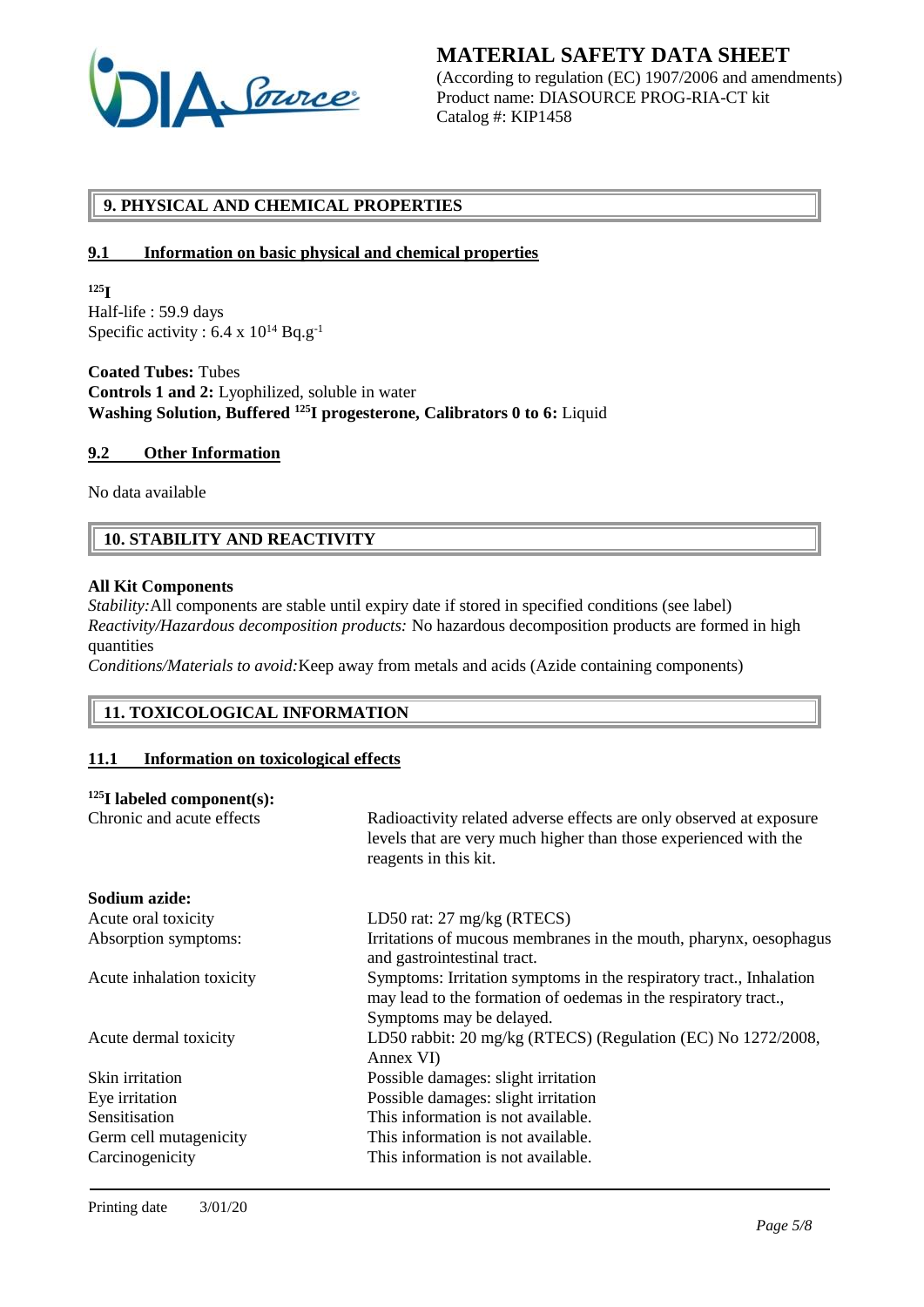

(According to regulation (EC) 1907/2006 and amendments) Product name: DIASOURCE PROG-RIA-CT kit Catalog #: KIP1458

# **9. PHYSICAL AND CHEMICAL PROPERTIES**

### **9.1 Information on basic physical and chemical properties**

**<sup>125</sup>I**

Half-life : 59.9 days Specific activity :  $6.4 \times 10^{14}$  Bq.g<sup>-1</sup>

**Coated Tubes:** Tubes **Controls 1 and 2:** Lyophilized, soluble in water **Washing Solution, Buffered <sup>125</sup>I progesterone, Calibrators 0 to 6:** Liquid

### **9.2 Other Information**

No data available

# **10. STABILITY AND REACTIVITY**

### **All Kit Components**

*Stability:* All components are stable until expiry date if stored in specified conditions (see label) *Reactivity/Hazardous decomposition products:* No hazardous decomposition products are formed in high quantities

*Conditions/Materials to avoid:*Keep away from metals and acids (Azide containing components)

# **11. TOXICOLOGICAL INFORMATION**

### **11.1 Information on toxicological effects**

#### **<sup>125</sup>I labeled component(s):**

| Chronic and acute effects | Radioactivity related adverse effects are only observed at exposure<br>levels that are very much higher than those experienced with the<br>reagents in this kit. |
|---------------------------|------------------------------------------------------------------------------------------------------------------------------------------------------------------|
| Sodium azide:             |                                                                                                                                                                  |
| Acute oral toxicity       | LD50 rat: 27 mg/kg (RTECS)                                                                                                                                       |
| Absorption symptoms:      | Irritations of mucous membranes in the mouth, pharynx, oesophagus<br>and gastrointestinal tract.                                                                 |
| Acute inhalation toxicity | Symptoms: Irritation symptoms in the respiratory tract., Inhalation<br>may lead to the formation of oedemas in the respiratory tract.,                           |
| Acute dermal toxicity     | Symptoms may be delayed.<br>LD50 rabbit: 20 mg/kg (RTECS) (Regulation (EC) No 1272/2008,<br>Annex VI)                                                            |
| Skin irritation           | Possible damages: slight irritation                                                                                                                              |
| Eye irritation            | Possible damages: slight irritation                                                                                                                              |
| Sensitisation             | This information is not available.                                                                                                                               |
| Germ cell mutagenicity    | This information is not available.                                                                                                                               |
| Carcinogenicity           | This information is not available.                                                                                                                               |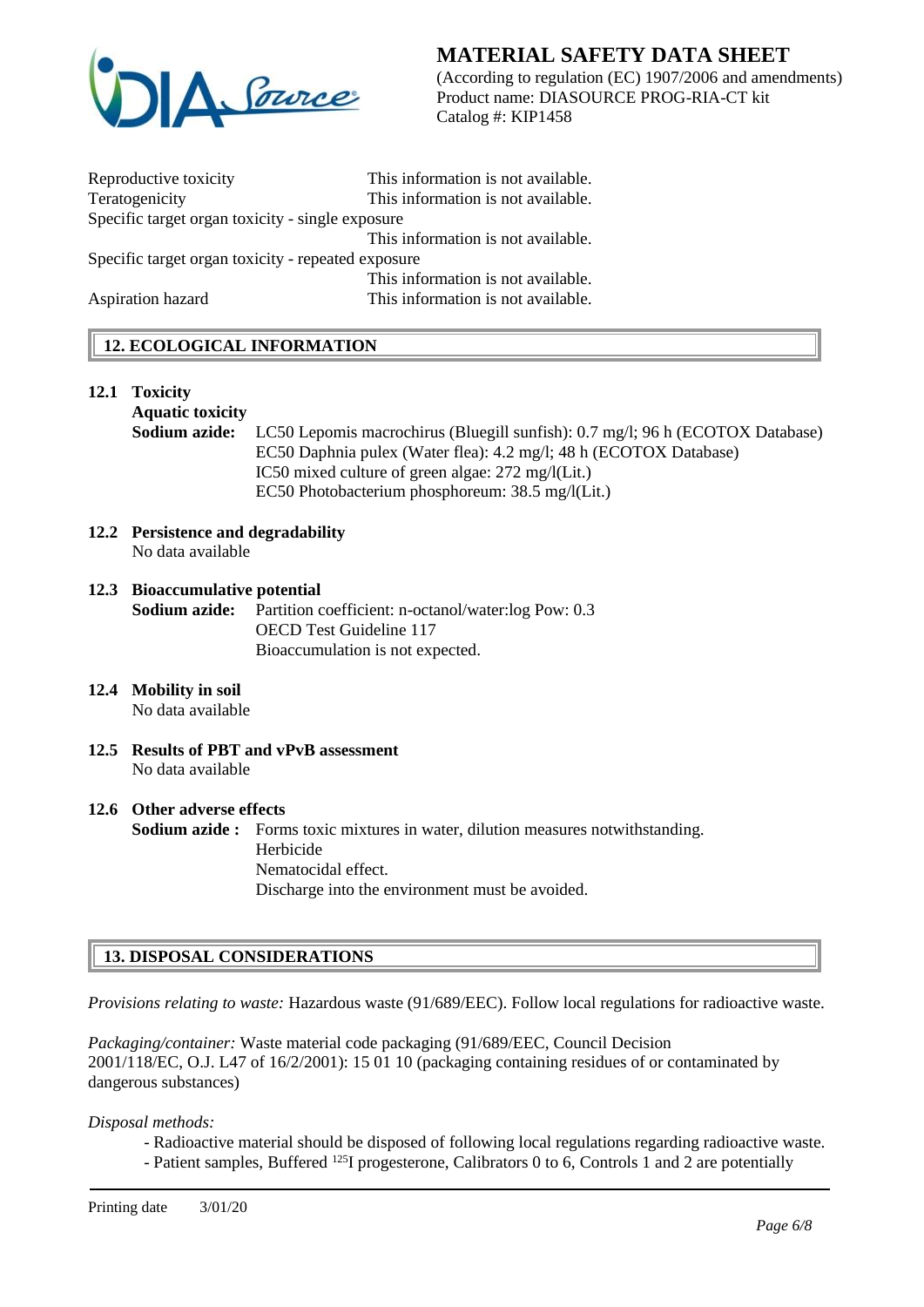

(According to regulation (EC) 1907/2006 and amendments) Product name: DIASOURCE PROG-RIA-CT kit Catalog #: KIP1458

| Reproductive toxicity                              | This information is not available. |  |  |
|----------------------------------------------------|------------------------------------|--|--|
| Teratogenicity                                     | This information is not available. |  |  |
| Specific target organ toxicity - single exposure   |                                    |  |  |
|                                                    | This information is not available. |  |  |
| Specific target organ toxicity - repeated exposure |                                    |  |  |
|                                                    | This information is not available. |  |  |
| Aspiration hazard                                  | This information is not available. |  |  |
|                                                    |                                    |  |  |

# **12. ECOLOGICAL INFORMATION**

#### **12.1 Toxicity**

### **Aquatic toxicity**

**Sodium azide:** LC50 Lepomis macrochirus (Bluegill sunfish): 0.7 mg/l; 96 h (ECOTOX Database) EC50 Daphnia pulex (Water flea): 4.2 mg/l; 48 h (ECOTOX Database) IC50 mixed culture of green algae: 272 mg/l(Lit.) EC50 Photobacterium phosphoreum: 38.5 mg/l(Lit.)

#### **12.2 Persistence and degradability** No data available

### **12.3 Bioaccumulative potential Sodium azide:** Partition coefficient: n-octanol/water:log Pow: 0.3 OECD Test Guideline 117 Bioaccumulation is not expected.

#### **12.4 Mobility in soil** No data available

**12.5 Results of PBT and vPvB assessment** No data available

# **12.6 Other adverse effects**

**Sodium azide :** Forms toxic mixtures in water, dilution measures notwithstanding. Herbicide Nematocidal effect. Discharge into the environment must be avoided.

### **13. DISPOSAL CONSIDERATIONS**

*Provisions relating to waste:* Hazardous waste (91/689/EEC). Follow local regulations for radioactive waste.

*Packaging/container:* Waste material code packaging (91/689/EEC, Council Decision 2001/118/EC, O.J. L47 of 16/2/2001): 15 01 10 (packaging containing residues of or contaminated by dangerous substances)

*Disposal methods:*

- Radioactive material should be disposed of following local regulations regarding radioactive waste.
- Patient samples, Buffered <sup>125</sup>I progesterone, Calibrators 0 to 6, Controls 1 and 2 are potentially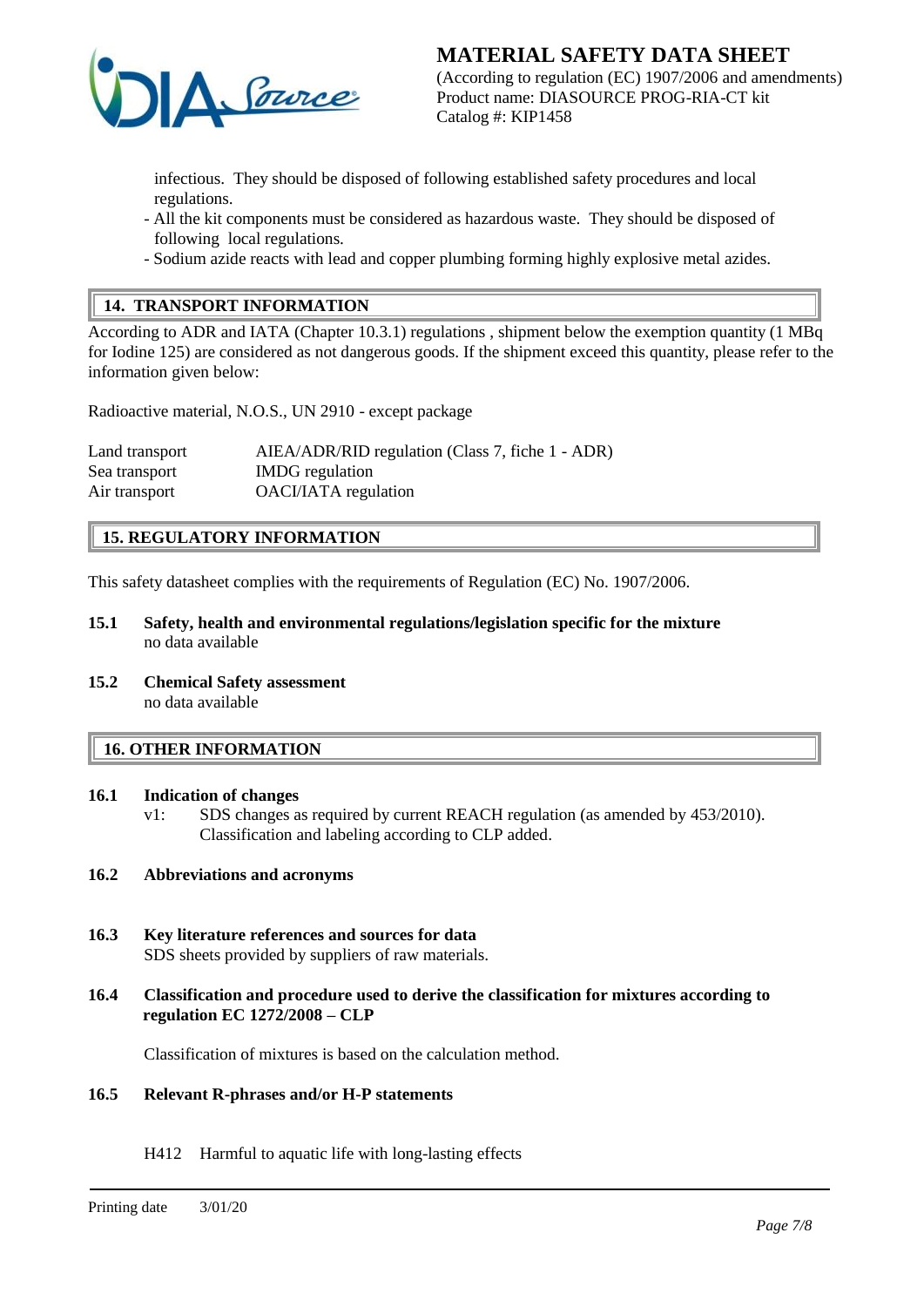

**MATERIAL SAFETY DATA SHEET** (According to regulation (EC) 1907/2006 and amendments) Product name: DIASOURCE PROG-RIA-CT kit Catalog #: KIP1458

infectious. They should be disposed of following established safety procedures and local regulations.

- All the kit components must be considered as hazardous waste. They should be disposed of following local regulations.
- Sodium azide reacts with lead and copper plumbing forming highly explosive metal azides.

# **14. TRANSPORT INFORMATION**

According to ADR and IATA (Chapter 10.3.1) regulations , shipment below the exemption quantity (1 MBq for Iodine 125) are considered as not dangerous goods. If the shipment exceed this quantity, please refer to the information given below:

Radioactive material, N.O.S., UN 2910 - except package

| Land transport | AIEA/ADR/RID regulation (Class 7, fiche 1 - ADR) |
|----------------|--------------------------------------------------|
| Sea transport  | <b>IMDG</b> regulation                           |
| Air transport  | <b>OACI/IATA</b> regulation                      |

# **15. REGULATORY INFORMATION**

This safety datasheet complies with the requirements of Regulation (EC) No. 1907/2006.

- **15.1 Safety, health and environmental regulations/legislation specific for the mixture** no data available
- **15.2 Chemical Safety assessment** no data available

#### **16. OTHER INFORMATION**

### **16.1 Indication of changes**

v1: SDS changes as required by current REACH regulation (as amended by 453/2010). Classification and labeling according to CLP added.

### **16.2 Abbreviations and acronyms**

- **16.3 Key literature references and sources for data** SDS sheets provided by suppliers of raw materials.
- **16.4 Classification and procedure used to derive the classification for mixtures according to regulation EC 1272/2008 – CLP**

Classification of mixtures is based on the calculation method.

#### **16.5 Relevant R-phrases and/or H-P statements**

H412 Harmful to aquatic life with long-lasting effects